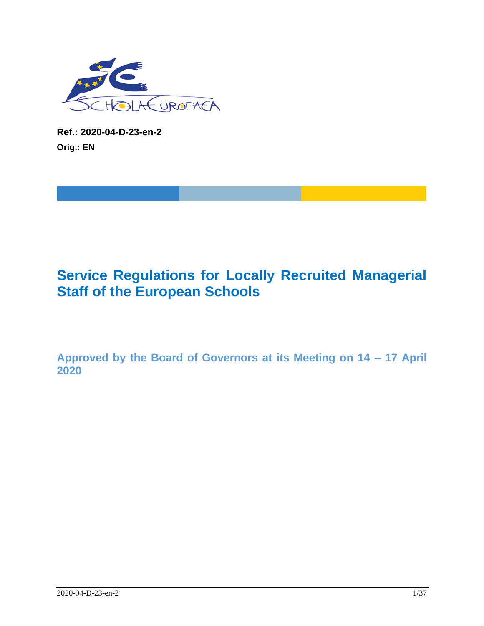

**Ref.: 2020-04-D-23-en-2 Orig.: EN**

# **Service Regulations for Locally Recruited Managerial Staff of the European Schools**

**Approved by the Board of Governors at its Meeting on 14 – 17 April 2020**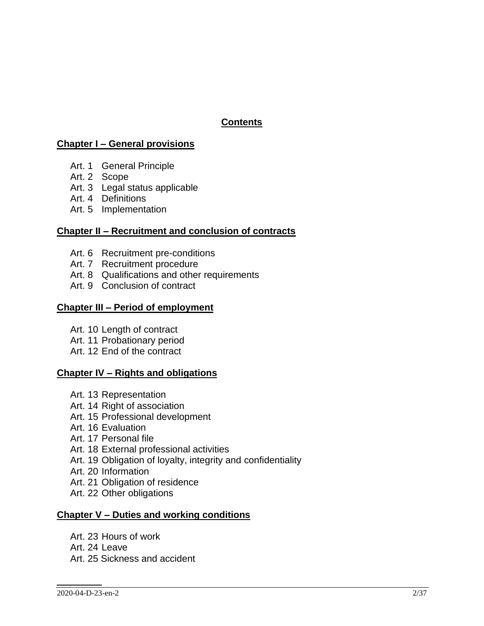# **Contents**

### **Chapter I – General provisions**

- Art. 1 General Principle
- Art. 2 Scope
- Art. 3 Legal status applicable
- Art. 4 Definitions
- Art. 5 Implementation

### **Chapter II – Recruitment and conclusion of contracts**

- Art. 6 Recruitment pre-conditions
- Art. 7 Recruitment procedure
- Art. 8 Qualifications and other requirements
- Art. 9 Conclusion of contract

#### **Chapter III – Period of employment**

- Art. 10 Length of contract
- Art. 11 Probationary period
- Art. 12 End of the contract

#### **Chapter IV – Rights and obligations**

- Art. 13 Representation
- Art. 14 Right of association
- Art. 15 Professional development
- Art. 16 Evaluation
- Art. 17 Personal file
- Art. 18 External professional activities
- Art. 19 Obligation of loyalty, integrity and confidentiality
- Art. 20 Information
- Art. 21 Obligation of residence
- Art. 22 Other obligations

### **Chapter V – Duties and working conditions**

- Art. 23 Hours of work
- Art. 24 Leave
- Art. 25 Sickness and accident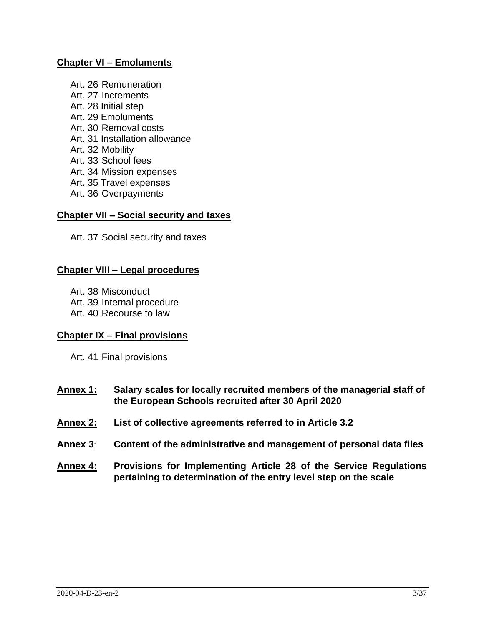#### **Chapter VI – Emoluments**

Art. 26 Remuneration Art. 27 Increments Art. 28 Initial step Art. 29 Emoluments Art. 30 Removal costs Art. 31 Installation allowance Art. 32 Mobility Art. 33 School fees Art. 34 Mission expenses Art. 35 Travel expenses Art. 36 Overpayments

#### **Chapter VII – Social security and taxes**

Art. 37 Social security and taxes

#### **Chapter VIII – Legal procedures**

- Art. 38 Misconduct
- Art. 39 Internal procedure
- Art. 40 Recourse to law

#### **Chapter IX – Final provisions**

Art. 41 Final provisions

- **Annex 1: Salary scales for locally recruited members of the managerial staff of the European Schools recruited after 30 April 2020**
- **Annex 2: List of collective agreements referred to in Article 3.2**
- **Annex 3**: **Content of the administrative and management of personal data files**
- **Annex 4: Provisions for Implementing Article 28 of the Service Regulations pertaining to determination of the entry level step on the scale**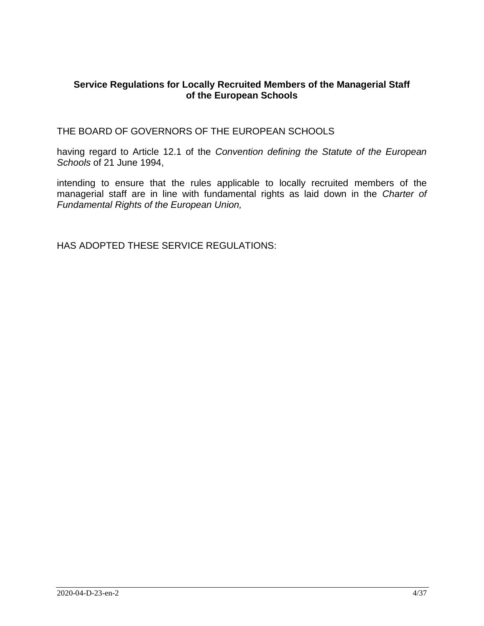### **Service Regulations for Locally Recruited Members of the Managerial Staff of the European Schools**

THE BOARD OF GOVERNORS OF THE EUROPEAN SCHOOLS

having regard to Article 12.1 of the *Convention defining the Statute of the European Schools* of 21 June 1994,

intending to ensure that the rules applicable to locally recruited members of the managerial staff are in line with fundamental rights as laid down in the *Charter of Fundamental Rights of the European Union,*

HAS ADOPTED THESE SERVICE REGULATIONS: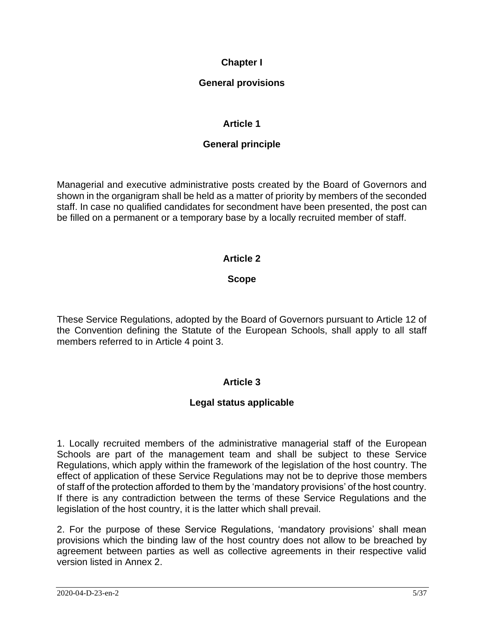# **Chapter I**

# **General provisions**

# **Article 1**

# **General principle**

Managerial and executive administrative posts created by the Board of Governors and shown in the organigram shall be held as a matter of priority by members of the seconded staff. In case no qualified candidates for secondment have been presented, the post can be filled on a permanent or a temporary base by a locally recruited member of staff.

# **Article 2**

### **Scope**

These Service Regulations, adopted by the Board of Governors pursuant to Article 12 of the Convention defining the Statute of the European Schools, shall apply to all staff members referred to in Article 4 point 3.

# **Article 3**

# **Legal status applicable**

1. Locally recruited members of the administrative managerial staff of the European Schools are part of the management team and shall be subject to these Service Regulations, which apply within the framework of the legislation of the host country. The effect of application of these Service Regulations may not be to deprive those members of staff of the protection afforded to them by the 'mandatory provisions' of the host country. If there is any contradiction between the terms of these Service Regulations and the legislation of the host country, it is the latter which shall prevail.

2. For the purpose of these Service Regulations, 'mandatory provisions' shall mean provisions which the binding law of the host country does not allow to be breached by agreement between parties as well as collective agreements in their respective valid version listed in Annex 2.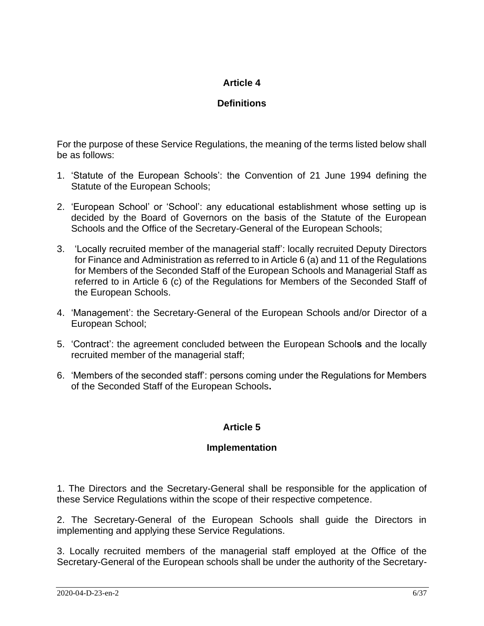# **Definitions**

For the purpose of these Service Regulations, the meaning of the terms listed below shall be as follows:

- 1. 'Statute of the European Schools': the Convention of 21 June 1994 defining the Statute of the European Schools;
- 2. 'European School' or 'School': any educational establishment whose setting up is decided by the Board of Governors on the basis of the Statute of the European Schools and the Office of the Secretary-General of the European Schools;
- 3. 'Locally recruited member of the managerial staff': locally recruited Deputy Directors for Finance and Administration as referred to in Article 6 (a) and 11 of the Regulations for Members of the Seconded Staff of the European Schools and Managerial Staff as referred to in Article 6 (c) of the Regulations for Members of the Seconded Staff of the European Schools.
- 4. 'Management': the Secretary-General of the European Schools and/or Director of a European School;
- 5. 'Contract': the agreement concluded between the European School**s** and the locally recruited member of the managerial staff;
- 6. 'Members of the seconded staff': persons coming under the Regulations for Members of the Seconded Staff of the European Schools**.**

# **Article 5**

# **Implementation**

1. The Directors and the Secretary-General shall be responsible for the application of these Service Regulations within the scope of their respective competence.

2. The Secretary-General of the European Schools shall guide the Directors in implementing and applying these Service Regulations.

3. Locally recruited members of the managerial staff employed at the Office of the Secretary-General of the European schools shall be under the authority of the Secretary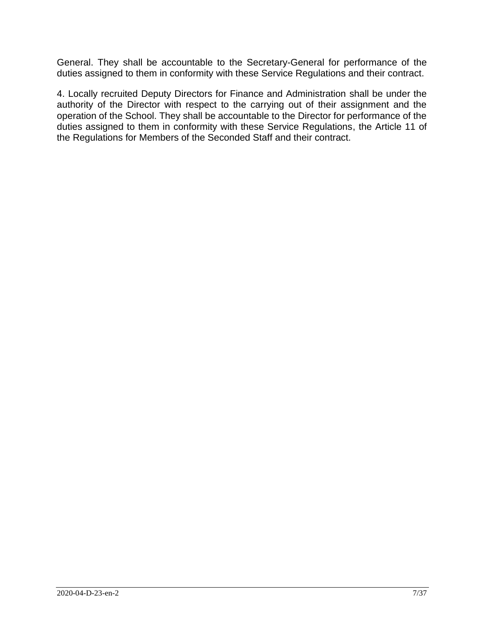General. They shall be accountable to the Secretary-General for performance of the duties assigned to them in conformity with these Service Regulations and their contract.

4. Locally recruited Deputy Directors for Finance and Administration shall be under the authority of the Director with respect to the carrying out of their assignment and the operation of the School. They shall be accountable to the Director for performance of the duties assigned to them in conformity with these Service Regulations, the Article 11 of the Regulations for Members of the Seconded Staff and their contract.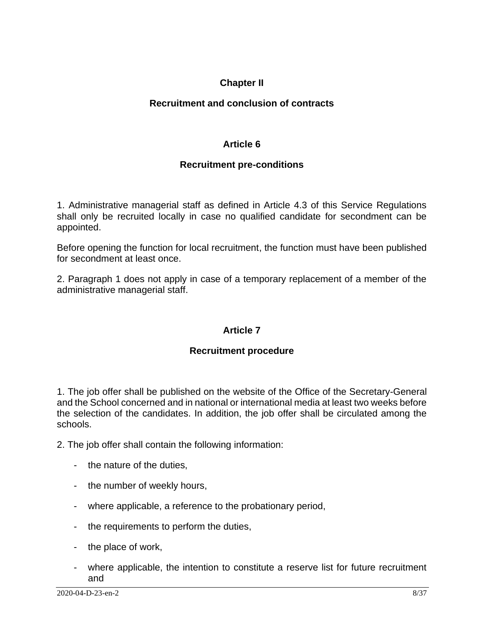# **Chapter II**

# **Recruitment and conclusion of contracts**

# **Article 6**

# **Recruitment pre-conditions**

1. Administrative managerial staff as defined in Article 4.3 of this Service Regulations shall only be recruited locally in case no qualified candidate for secondment can be appointed.

Before opening the function for local recruitment, the function must have been published for secondment at least once.

2. Paragraph 1 does not apply in case of a temporary replacement of a member of the administrative managerial staff.

# **Article 7**

# **Recruitment procedure**

1. The job offer shall be published on the website of the Office of the Secretary-General and the School concerned and in national or international media at least two weeks before the selection of the candidates. In addition, the job offer shall be circulated among the schools.

2. The job offer shall contain the following information:

- the nature of the duties,
- the number of weekly hours,
- where applicable, a reference to the probationary period,
- the requirements to perform the duties,
- the place of work,
- where applicable, the intention to constitute a reserve list for future recruitment and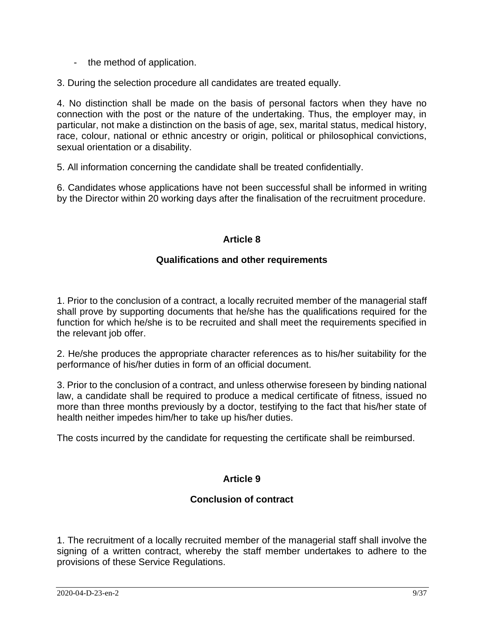- the method of application.

3. During the selection procedure all candidates are treated equally.

4. No distinction shall be made on the basis of personal factors when they have no connection with the post or the nature of the undertaking. Thus, the employer may, in particular, not make a distinction on the basis of age, sex, marital status, medical history, race, colour, national or ethnic ancestry or origin, political or philosophical convictions, sexual orientation or a disability.

5. All information concerning the candidate shall be treated confidentially.

6. Candidates whose applications have not been successful shall be informed in writing by the Director within 20 working days after the finalisation of the recruitment procedure.

# **Article 8**

### **Qualifications and other requirements**

1. Prior to the conclusion of a contract, a locally recruited member of the managerial staff shall prove by supporting documents that he/she has the qualifications required for the function for which he/she is to be recruited and shall meet the requirements specified in the relevant job offer.

2. He/she produces the appropriate character references as to his/her suitability for the performance of his/her duties in form of an official document.

3. Prior to the conclusion of a contract, and unless otherwise foreseen by binding national law, a candidate shall be required to produce a medical certificate of fitness, issued no more than three months previously by a doctor, testifying to the fact that his/her state of health neither impedes him/her to take up his/her duties.

The costs incurred by the candidate for requesting the certificate shall be reimbursed.

# **Article 9**

# **Conclusion of contract**

1. The recruitment of a locally recruited member of the managerial staff shall involve the signing of a written contract, whereby the staff member undertakes to adhere to the provisions of these Service Regulations.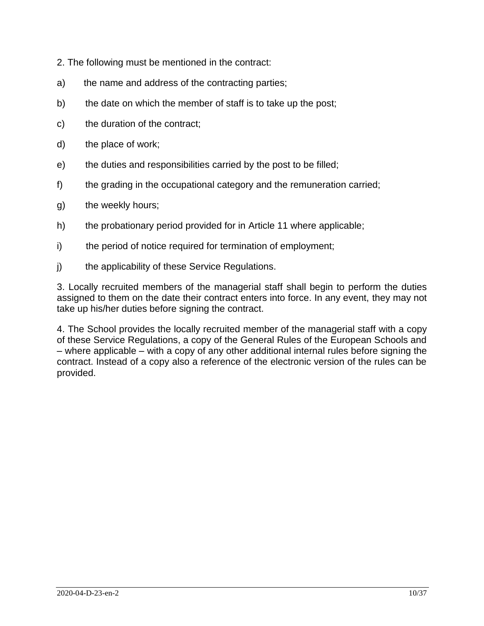- 2. The following must be mentioned in the contract:
- a) the name and address of the contracting parties;
- b) the date on which the member of staff is to take up the post;
- c) the duration of the contract;
- d) the place of work;
- e) the duties and responsibilities carried by the post to be filled;
- f) the grading in the occupational category and the remuneration carried;
- g) the weekly hours;
- h) the probationary period provided for in Article 11 where applicable;
- i) the period of notice required for termination of employment;
- j) the applicability of these Service Regulations.

3. Locally recruited members of the managerial staff shall begin to perform the duties assigned to them on the date their contract enters into force. In any event, they may not take up his/her duties before signing the contract.

4. The School provides the locally recruited member of the managerial staff with a copy of these Service Regulations, a copy of the General Rules of the European Schools and – where applicable – with a copy of any other additional internal rules before signing the contract. Instead of a copy also a reference of the electronic version of the rules can be provided.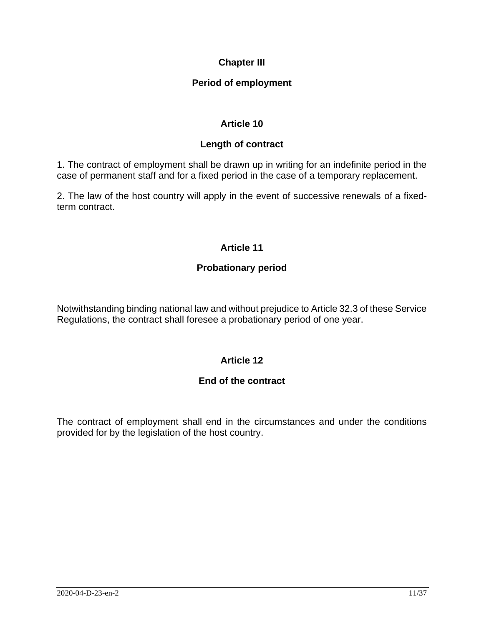# **Chapter III**

# **Period of employment**

# **Article 10**

### **Length of contract**

1. The contract of employment shall be drawn up in writing for an indefinite period in the case of permanent staff and for a fixed period in the case of a temporary replacement.

2. The law of the host country will apply in the event of successive renewals of a fixedterm contract.

# **Article 11**

# **Probationary period**

Notwithstanding binding national law and without prejudice to Article 32.3 of these Service Regulations, the contract shall foresee a probationary period of one year.

# **Article 12**

# **End of the contract**

The contract of employment shall end in the circumstances and under the conditions provided for by the legislation of the host country.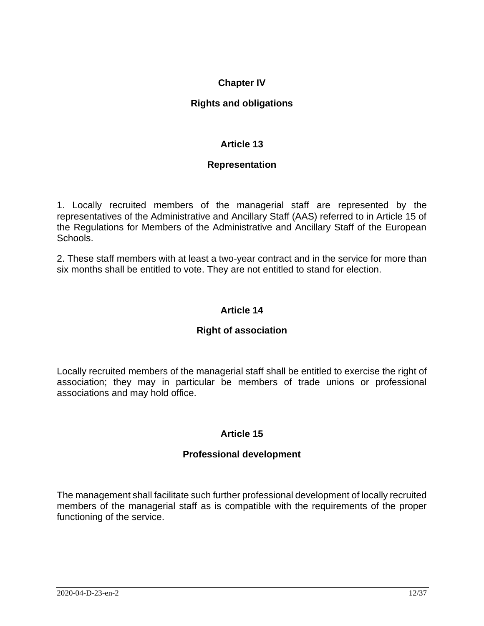# **Chapter IV**

### **Rights and obligations**

# **Article 13**

### **Representation**

1. Locally recruited members of the managerial staff are represented by the representatives of the Administrative and Ancillary Staff (AAS) referred to in Article 15 of the Regulations for Members of the Administrative and Ancillary Staff of the European Schools.

2. These staff members with at least a two-year contract and in the service for more than six months shall be entitled to vote. They are not entitled to stand for election.

### **Article 14**

#### **Right of association**

Locally recruited members of the managerial staff shall be entitled to exercise the right of association; they may in particular be members of trade unions or professional associations and may hold office.

# **Article 15**

#### **Professional development**

The management shall facilitate such further professional development of locally recruited members of the managerial staff as is compatible with the requirements of the proper functioning of the service.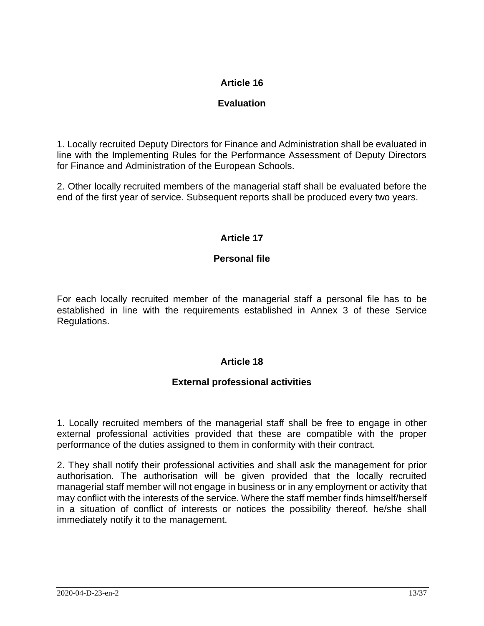# **Evaluation**

1. Locally recruited Deputy Directors for Finance and Administration shall be evaluated in line with the Implementing Rules for the Performance Assessment of Deputy Directors for Finance and Administration of the European Schools.

2. Other locally recruited members of the managerial staff shall be evaluated before the end of the first year of service. Subsequent reports shall be produced every two years.

# **Article 17**

# **Personal file**

For each locally recruited member of the managerial staff a personal file has to be established in line with the requirements established in Annex 3 of these Service Regulations.

# **Article 18**

# **External professional activities**

1. Locally recruited members of the managerial staff shall be free to engage in other external professional activities provided that these are compatible with the proper performance of the duties assigned to them in conformity with their contract.

2. They shall notify their professional activities and shall ask the management for prior authorisation. The authorisation will be given provided that the locally recruited managerial staff member will not engage in business or in any employment or activity that may conflict with the interests of the service. Where the staff member finds himself/herself in a situation of conflict of interests or notices the possibility thereof, he/she shall immediately notify it to the management.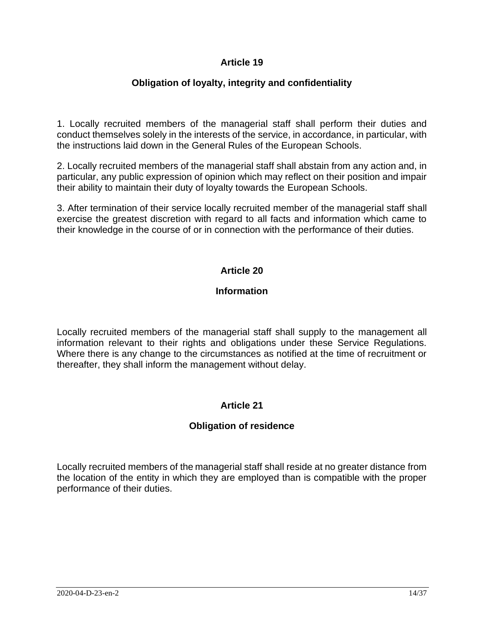# **Obligation of loyalty, integrity and confidentiality**

1. Locally recruited members of the managerial staff shall perform their duties and conduct themselves solely in the interests of the service, in accordance, in particular, with the instructions laid down in the General Rules of the European Schools.

2. Locally recruited members of the managerial staff shall abstain from any action and, in particular, any public expression of opinion which may reflect on their position and impair their ability to maintain their duty of loyalty towards the European Schools.

3. After termination of their service locally recruited member of the managerial staff shall exercise the greatest discretion with regard to all facts and information which came to their knowledge in the course of or in connection with the performance of their duties.

# **Article 20**

### **Information**

Locally recruited members of the managerial staff shall supply to the management all information relevant to their rights and obligations under these Service Regulations. Where there is any change to the circumstances as notified at the time of recruitment or thereafter, they shall inform the management without delay.

# **Article 21**

# **Obligation of residence**

Locally recruited members of the managerial staff shall reside at no greater distance from the location of the entity in which they are employed than is compatible with the proper performance of their duties.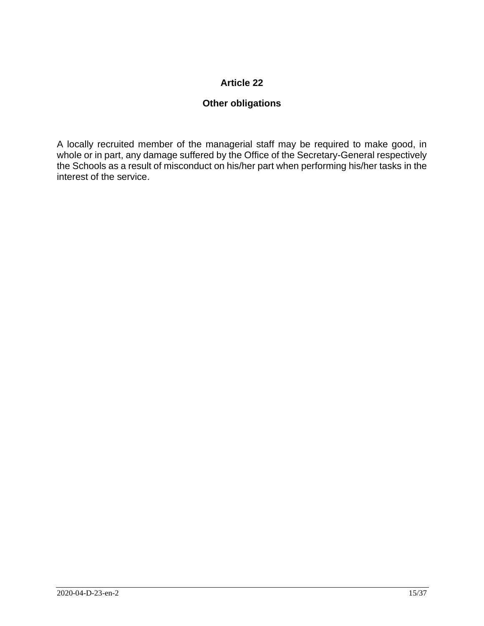# **Other obligations**

A locally recruited member of the managerial staff may be required to make good, in whole or in part, any damage suffered by the Office of the Secretary-General respectively the Schools as a result of misconduct on his/her part when performing his/her tasks in the interest of the service.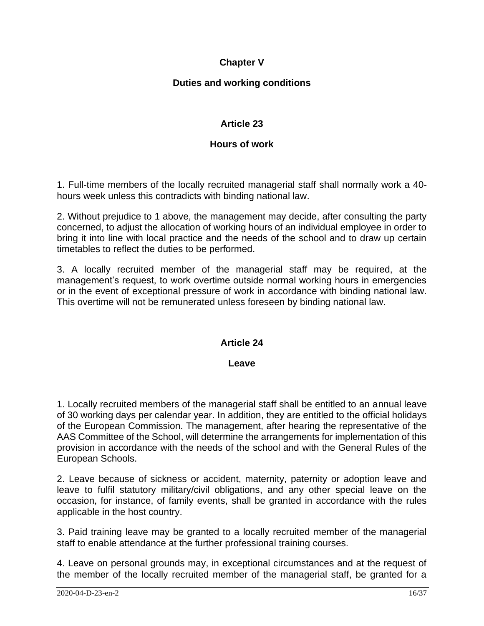# **Chapter V**

# **Duties and working conditions**

### **Article 23**

#### **Hours of work**

1. Full-time members of the locally recruited managerial staff shall normally work a 40 hours week unless this contradicts with binding national law.

2. Without prejudice to 1 above, the management may decide, after consulting the party concerned, to adjust the allocation of working hours of an individual employee in order to bring it into line with local practice and the needs of the school and to draw up certain timetables to reflect the duties to be performed.

3. A locally recruited member of the managerial staff may be required, at the management's request, to work overtime outside normal working hours in emergencies or in the event of exceptional pressure of work in accordance with binding national law. This overtime will not be remunerated unless foreseen by binding national law.

#### **Article 24**

#### **Leave**

1. Locally recruited members of the managerial staff shall be entitled to an annual leave of 30 working days per calendar year. In addition, they are entitled to the official holidays of the European Commission. The management, after hearing the representative of the AAS Committee of the School, will determine the arrangements for implementation of this provision in accordance with the needs of the school and with the General Rules of the European Schools.

2. Leave because of sickness or accident, maternity, paternity or adoption leave and leave to fulfil statutory military/civil obligations, and any other special leave on the occasion, for instance, of family events, shall be granted in accordance with the rules applicable in the host country.

3. Paid training leave may be granted to a locally recruited member of the managerial staff to enable attendance at the further professional training courses.

4. Leave on personal grounds may, in exceptional circumstances and at the request of the member of the locally recruited member of the managerial staff, be granted for a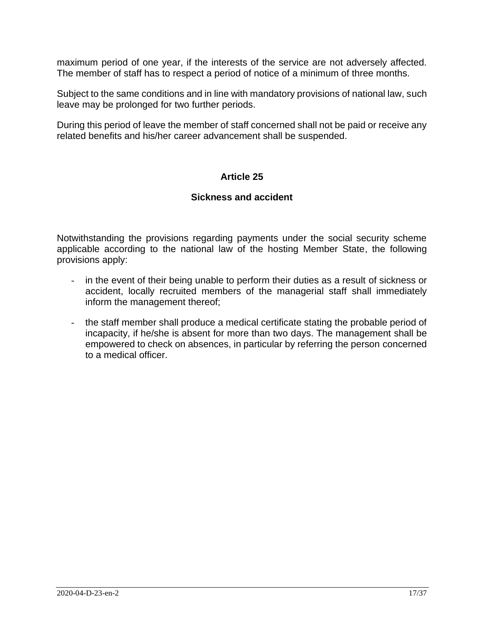maximum period of one year, if the interests of the service are not adversely affected. The member of staff has to respect a period of notice of a minimum of three months.

Subject to the same conditions and in line with mandatory provisions of national law, such leave may be prolonged for two further periods.

During this period of leave the member of staff concerned shall not be paid or receive any related benefits and his/her career advancement shall be suspended.

### **Article 25**

#### **Sickness and accident**

Notwithstanding the provisions regarding payments under the social security scheme applicable according to the national law of the hosting Member State, the following provisions apply:

- in the event of their being unable to perform their duties as a result of sickness or accident, locally recruited members of the managerial staff shall immediately inform the management thereof;
- the staff member shall produce a medical certificate stating the probable period of incapacity, if he/she is absent for more than two days. The management shall be empowered to check on absences, in particular by referring the person concerned to a medical officer.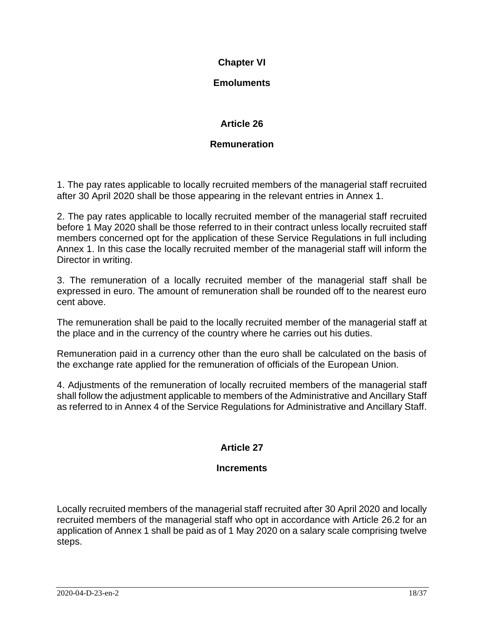# **Chapter VI**

# **Emoluments**

# **Article 26**

# **Remuneration**

1. The pay rates applicable to locally recruited members of the managerial staff recruited after 30 April 2020 shall be those appearing in the relevant entries in Annex 1.

2. The pay rates applicable to locally recruited member of the managerial staff recruited before 1 May 2020 shall be those referred to in their contract unless locally recruited staff members concerned opt for the application of these Service Regulations in full including Annex 1. In this case the locally recruited member of the managerial staff will inform the Director in writing.

3. The remuneration of a locally recruited member of the managerial staff shall be expressed in euro. The amount of remuneration shall be rounded off to the nearest euro cent above.

The remuneration shall be paid to the locally recruited member of the managerial staff at the place and in the currency of the country where he carries out his duties.

Remuneration paid in a currency other than the euro shall be calculated on the basis of the exchange rate applied for the remuneration of officials of the European Union.

4. Adjustments of the remuneration of locally recruited members of the managerial staff shall follow the adjustment applicable to members of the Administrative and Ancillary Staff as referred to in Annex 4 of the Service Regulations for Administrative and Ancillary Staff.

# **Article 27**

# **Increments**

Locally recruited members of the managerial staff recruited after 30 April 2020 and locally recruited members of the managerial staff who opt in accordance with Article 26.2 for an application of Annex 1 shall be paid as of 1 May 2020 on a salary scale comprising twelve steps.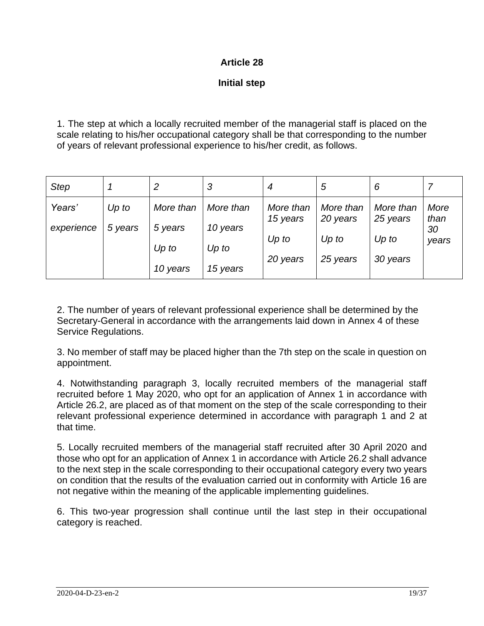### **Initial step**

1. The step at which a locally recruited member of the managerial staff is placed on the scale relating to his/her occupational category shall be that corresponding to the number of years of relevant professional experience to his/her credit, as follows.

| <b>Step</b> |         | 2         | 3         | 4         | 5         | 6         |            |
|-------------|---------|-----------|-----------|-----------|-----------|-----------|------------|
| Years'      | $Up$ to | More than | More than | More than | More than | More than | More       |
| experience  | 5 years | 5 years   | 10 years  | 15 years  | 20 years  | 25 years  | than<br>30 |
|             |         | $Up$ to   | $Up$ to   | $Up$ to   | $Up$ to   | $Up$ to   | years      |
|             |         | 10 years  | 15 years  | 20 years  | 25 years  | 30 years  |            |

2. The number of years of relevant professional experience shall be determined by the Secretary-General in accordance with the arrangements laid down in Annex 4 of these Service Regulations.

3. No member of staff may be placed higher than the 7th step on the scale in question on appointment.

4. Notwithstanding paragraph 3, locally recruited members of the managerial staff recruited before 1 May 2020, who opt for an application of Annex 1 in accordance with Article 26.2, are placed as of that moment on the step of the scale corresponding to their relevant professional experience determined in accordance with paragraph 1 and 2 at that time.

5. Locally recruited members of the managerial staff recruited after 30 April 2020 and those who opt for an application of Annex 1 in accordance with Article 26.2 shall advance to the next step in the scale corresponding to their occupational category every two years on condition that the results of the evaluation carried out in conformity with Article 16 are not negative within the meaning of the applicable implementing guidelines.

6. This two-year progression shall continue until the last step in their occupational category is reached.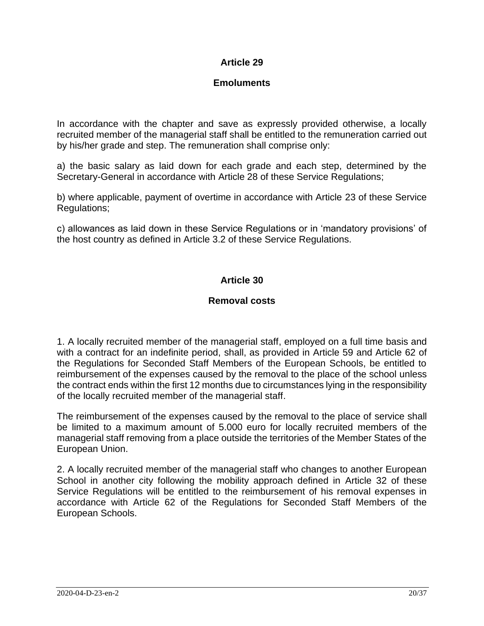# **Emoluments**

In accordance with the chapter and save as expressly provided otherwise, a locally recruited member of the managerial staff shall be entitled to the remuneration carried out by his/her grade and step. The remuneration shall comprise only:

a) the basic salary as laid down for each grade and each step, determined by the Secretary-General in accordance with Article 28 of these Service Regulations;

b) where applicable, payment of overtime in accordance with Article 23 of these Service Regulations;

c) allowances as laid down in these Service Regulations or in 'mandatory provisions' of the host country as defined in Article 3.2 of these Service Regulations.

# **Article 30**

### **Removal costs**

1. A locally recruited member of the managerial staff, employed on a full time basis and with a contract for an indefinite period, shall, as provided in Article 59 and Article 62 of the Regulations for Seconded Staff Members of the European Schools, be entitled to reimbursement of the expenses caused by the removal to the place of the school unless the contract ends within the first 12 months due to circumstances lying in the responsibility of the locally recruited member of the managerial staff.

The reimbursement of the expenses caused by the removal to the place of service shall be limited to a maximum amount of 5.000 euro for locally recruited members of the managerial staff removing from a place outside the territories of the Member States of the European Union.

2. A locally recruited member of the managerial staff who changes to another European School in another city following the mobility approach defined in Article 32 of these Service Regulations will be entitled to the reimbursement of his removal expenses in accordance with Article 62 of the Regulations for Seconded Staff Members of the European Schools.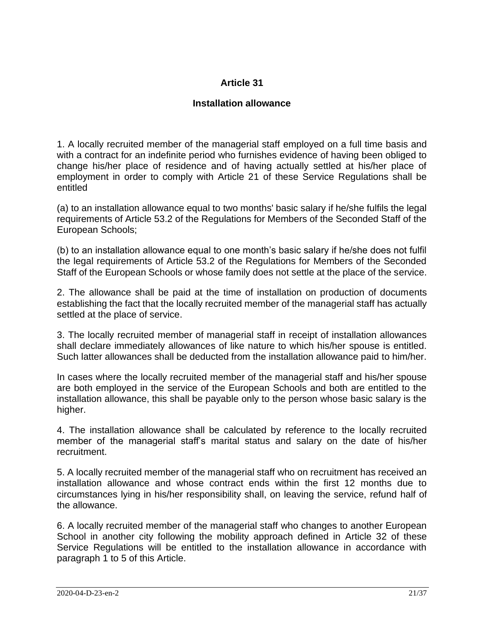### **Installation allowance**

1. A locally recruited member of the managerial staff employed on a full time basis and with a contract for an indefinite period who furnishes evidence of having been obliged to change his/her place of residence and of having actually settled at his/her place of employment in order to comply with Article 21 of these Service Regulations shall be entitled

(a) to an installation allowance equal to two months' basic salary if he/she fulfils the legal requirements of Article 53.2 of the Regulations for Members of the Seconded Staff of the European Schools;

(b) to an installation allowance equal to one month's basic salary if he/she does not fulfil the legal requirements of Article 53.2 of the Regulations for Members of the Seconded Staff of the European Schools or whose family does not settle at the place of the service.

2. The allowance shall be paid at the time of installation on production of documents establishing the fact that the locally recruited member of the managerial staff has actually settled at the place of service.

3. The locally recruited member of managerial staff in receipt of installation allowances shall declare immediately allowances of like nature to which his/her spouse is entitled. Such latter allowances shall be deducted from the installation allowance paid to him/her.

In cases where the locally recruited member of the managerial staff and his/her spouse are both employed in the service of the European Schools and both are entitled to the installation allowance, this shall be payable only to the person whose basic salary is the higher.

4. The installation allowance shall be calculated by reference to the locally recruited member of the managerial staff's marital status and salary on the date of his/her recruitment.

5. A locally recruited member of the managerial staff who on recruitment has received an installation allowance and whose contract ends within the first 12 months due to circumstances lying in his/her responsibility shall, on leaving the service, refund half of the allowance.

6. A locally recruited member of the managerial staff who changes to another European School in another city following the mobility approach defined in Article 32 of these Service Regulations will be entitled to the installation allowance in accordance with paragraph 1 to 5 of this Article.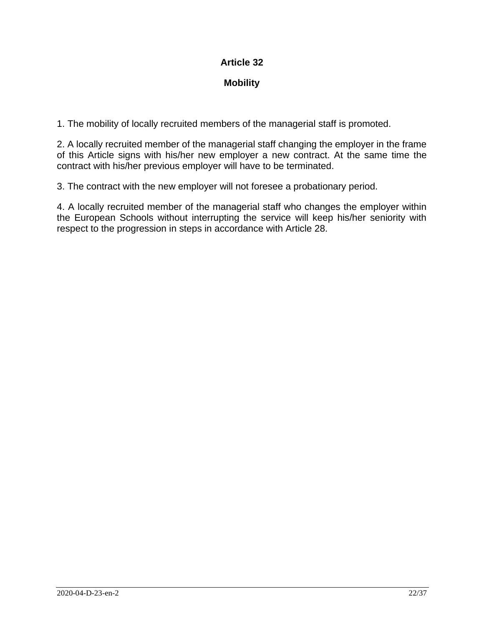# **Mobility**

1. The mobility of locally recruited members of the managerial staff is promoted.

2. A locally recruited member of the managerial staff changing the employer in the frame of this Article signs with his/her new employer a new contract. At the same time the contract with his/her previous employer will have to be terminated.

3. The contract with the new employer will not foresee a probationary period.

4. A locally recruited member of the managerial staff who changes the employer within the European Schools without interrupting the service will keep his/her seniority with respect to the progression in steps in accordance with Article 28.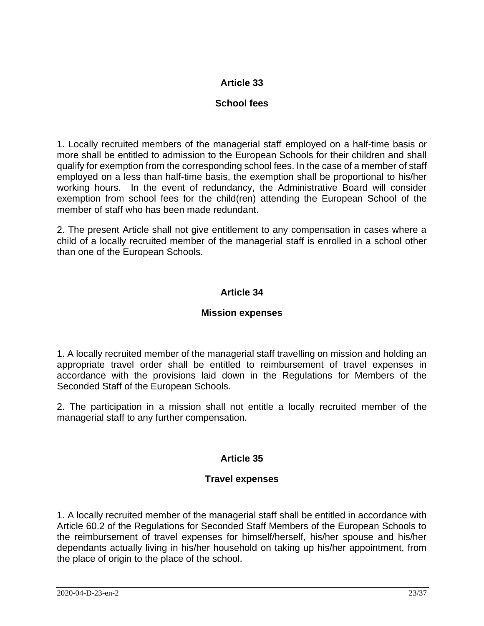# **School fees**

1. Locally recruited members of the managerial staff employed on a half-time basis or more shall be entitled to admission to the European Schools for their children and shall qualify for exemption from the corresponding school fees. In the case of a member of staff employed on a less than half-time basis, the exemption shall be proportional to his/her working hours. In the event of redundancy, the Administrative Board will consider exemption from school fees for the child(ren) attending the European School of the member of staff who has been made redundant.

2. The present Article shall not give entitlement to any compensation in cases where a child of a locally recruited member of the managerial staff is enrolled in a school other than one of the European Schools.

# **Article 34**

### **Mission expenses**

1. A locally recruited member of the managerial staff travelling on mission and holding an appropriate travel order shall be entitled to reimbursement of travel expenses in accordance with the provisions laid down in the Regulations for Members of the Seconded Staff of the European Schools.

2. The participation in a mission shall not entitle a locally recruited member of the managerial staff to any further compensation.

# **Article 35**

# **Travel expenses**

1. A locally recruited member of the managerial staff shall be entitled in accordance with Article 60.2 of the Regulations for Seconded Staff Members of the European Schools to the reimbursement of travel expenses for himself/herself, his/her spouse and his/her dependants actually living in his/her household on taking up his/her appointment, from the place of origin to the place of the school.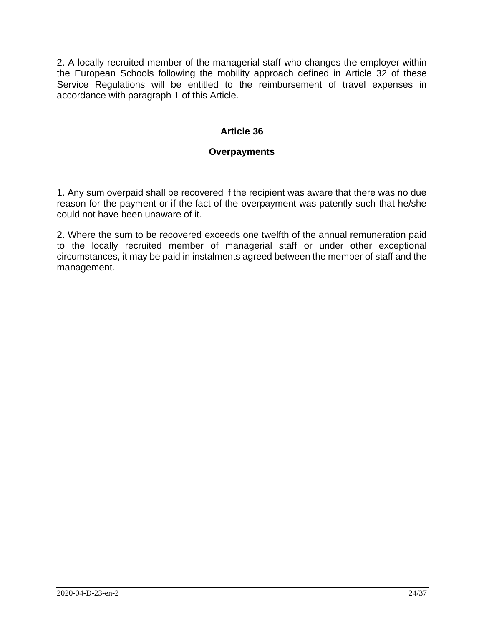2. A locally recruited member of the managerial staff who changes the employer within the European Schools following the mobility approach defined in Article 32 of these Service Regulations will be entitled to the reimbursement of travel expenses in accordance with paragraph 1 of this Article.

# **Article 36**

### **Overpayments**

1. Any sum overpaid shall be recovered if the recipient was aware that there was no due reason for the payment or if the fact of the overpayment was patently such that he/she could not have been unaware of it.

2. Where the sum to be recovered exceeds one twelfth of the annual remuneration paid to the locally recruited member of managerial staff or under other exceptional circumstances, it may be paid in instalments agreed between the member of staff and the management.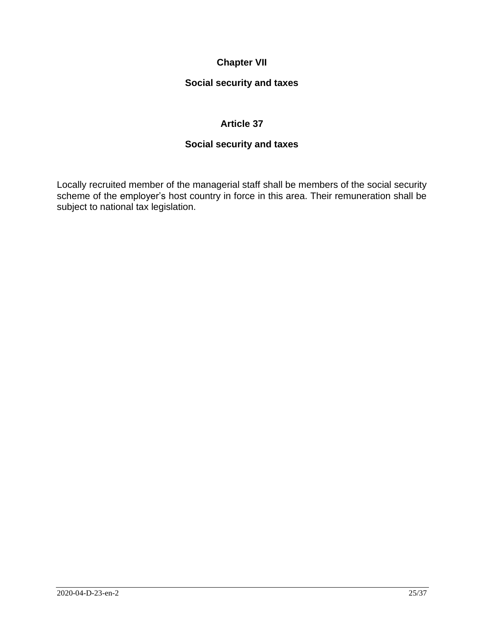# **Chapter VII**

# **Social security and taxes**

# **Article 37**

# **Social security and taxes**

Locally recruited member of the managerial staff shall be members of the social security scheme of the employer's host country in force in this area. Their remuneration shall be subject to national tax legislation.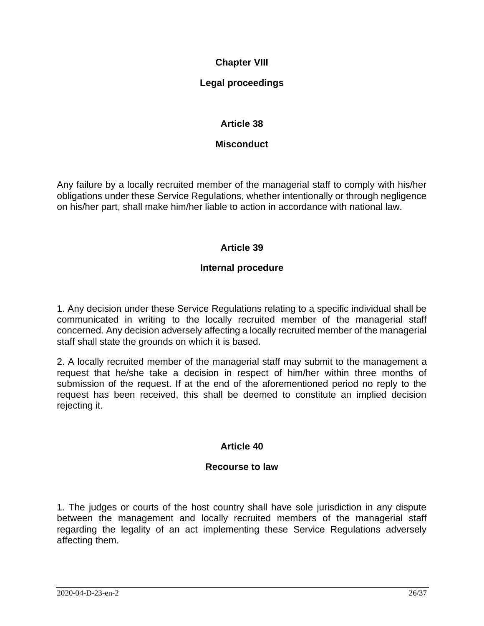# **Chapter VIII**

# **Legal proceedings**

# **Article 38**

### **Misconduct**

Any failure by a locally recruited member of the managerial staff to comply with his/her obligations under these Service Regulations, whether intentionally or through negligence on his/her part, shall make him/her liable to action in accordance with national law.

# **Article 39**

### **Internal procedure**

1. Any decision under these Service Regulations relating to a specific individual shall be communicated in writing to the locally recruited member of the managerial staff concerned. Any decision adversely affecting a locally recruited member of the managerial staff shall state the grounds on which it is based.

2. A locally recruited member of the managerial staff may submit to the management a request that he/she take a decision in respect of him/her within three months of submission of the request. If at the end of the aforementioned period no reply to the request has been received, this shall be deemed to constitute an implied decision rejecting it.

# **Article 40**

# **Recourse to law**

1. The judges or courts of the host country shall have sole jurisdiction in any dispute between the management and locally recruited members of the managerial staff regarding the legality of an act implementing these Service Regulations adversely affecting them.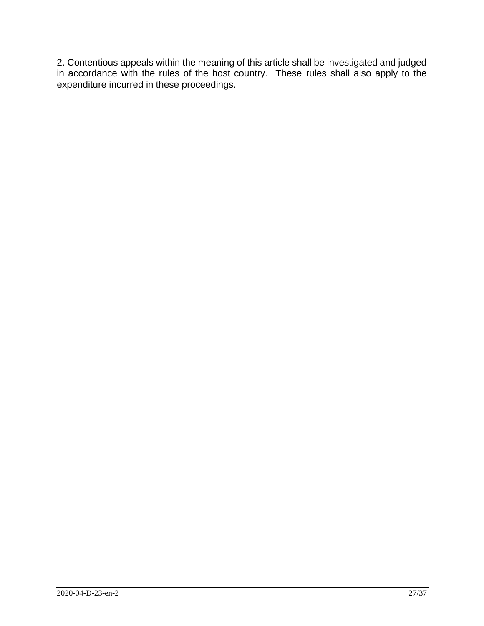2. Contentious appeals within the meaning of this article shall be investigated and judged in accordance with the rules of the host country. These rules shall also apply to the expenditure incurred in these proceedings.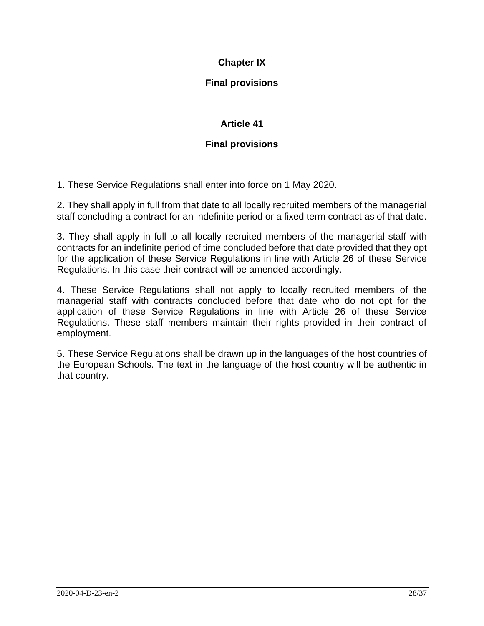# **Chapter IX**

# **Final provisions**

# **Article 41**

# **Final provisions**

1. These Service Regulations shall enter into force on 1 May 2020.

2. They shall apply in full from that date to all locally recruited members of the managerial staff concluding a contract for an indefinite period or a fixed term contract as of that date.

3. They shall apply in full to all locally recruited members of the managerial staff with contracts for an indefinite period of time concluded before that date provided that they opt for the application of these Service Regulations in line with Article 26 of these Service Regulations. In this case their contract will be amended accordingly.

4. These Service Regulations shall not apply to locally recruited members of the managerial staff with contracts concluded before that date who do not opt for the application of these Service Regulations in line with Article 26 of these Service Regulations. These staff members maintain their rights provided in their contract of employment.

5. These Service Regulations shall be drawn up in the languages of the host countries of the European Schools. The text in the language of the host country will be authentic in that country.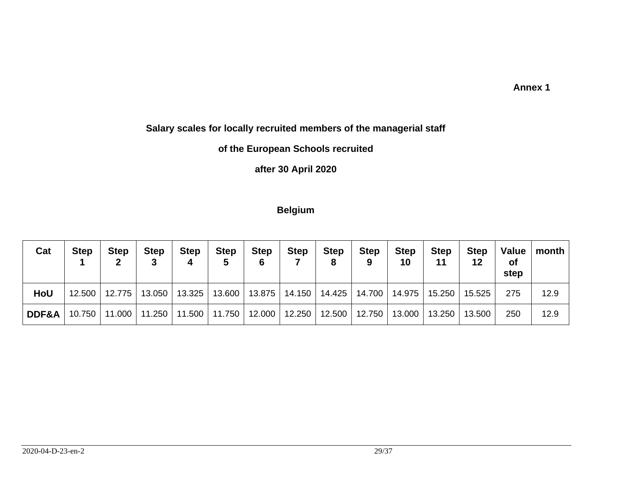#### **Annex 1**

# **Salary scales for locally recruited members of the managerial staff**

# **of the European Schools recruited**

# **after 30 April 2020**

### **Belgium**

| Cat              | <b>Step</b> | <b>Step</b> | <b>Step</b> | <b>Step</b><br>4         | <b>Step</b><br>5 | <b>Step</b><br>6 | <b>Step</b> | <b>Step</b><br>8 | <b>Step</b> | <b>Step</b><br>10 | <b>Step</b><br>11 | <b>Step</b><br>12 | Value<br>Οf<br>step | month |
|------------------|-------------|-------------|-------------|--------------------------|------------------|------------------|-------------|------------------|-------------|-------------------|-------------------|-------------------|---------------------|-------|
| HoU              | $12.500$    | 12.775      |             | 13.050   13.325          | 13.600丨          | 13.875           | 14.150      | 14.425           | 14.700      | 14.975            | 15.250            | 15.525            | 275                 | 12.9  |
| <b>DDF&amp;A</b> | $10.750$    |             |             | 11.000   11.250   11.500 | 11.750           | 12.000           | 12.250      | 12.500           | 12.750      | 13.000            | 13.250            | 13.500            | 250                 | 12.9  |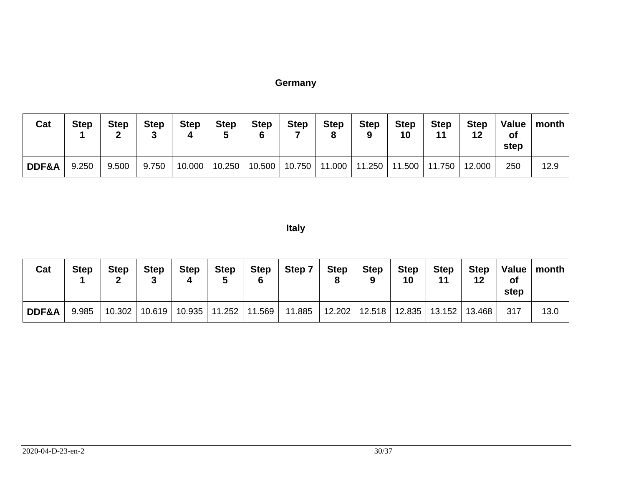# **Germany**

| Cat   | <b>Step</b> | <b>Step</b> | <b>Step</b> | <b>Step</b> | <b>Step</b> | <b>Step</b><br>6 | <b>Step</b> | <b>Step</b><br>О | <b>Step</b>                       | <b>Step</b><br>10 | <b>Step</b> | <b>Step</b><br>12 | Value  <br><b>of</b><br>step | month |
|-------|-------------|-------------|-------------|-------------|-------------|------------------|-------------|------------------|-----------------------------------|-------------------|-------------|-------------------|------------------------------|-------|
| DDF&A | 9.250       | 9.500       | 9.750       | 10.000      | 10.250      | 10.500           | 10.750      |                  | 11.000   11.250   11.500   11.750 |                   |             | 12.000            | 250                          | 12.9  |

**Italy**

| Cat   | <b>Step</b> | <b>Step</b> | <b>Step</b> | <b>Step</b><br>4 | Step   | <b>Step</b> | Step 7                   | <b>Step</b> | <b>Step</b><br>$\Omega$ | <b>Step</b><br>10 | Step<br>44        | <b>Step</b><br>12 | <b>Value</b><br>οf<br>step | ∣ month ⊦ |
|-------|-------------|-------------|-------------|------------------|--------|-------------|--------------------------|-------------|-------------------------|-------------------|-------------------|-------------------|----------------------------|-----------|
| DDF&A | 9.985       | 10.302      |             | 10.619   10.935  | 11.252 | 11.569      | 11.885   12.202   12.518 |             |                         | 12.835            | $13.152$   13.468 |                   | 317                        | 13.0      |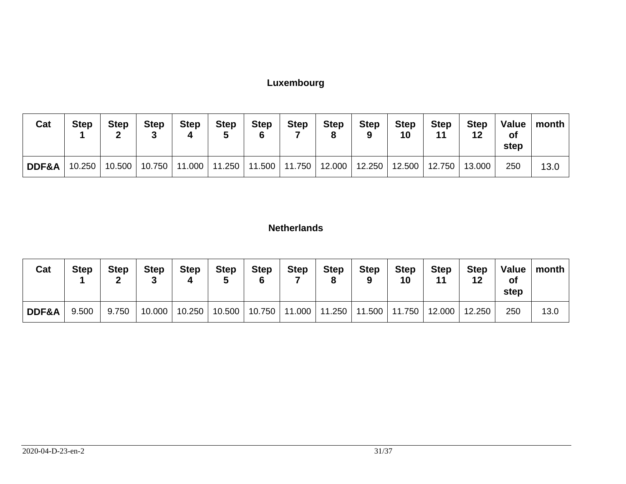# **Luxembourg**

| Cat   | <b>Step</b> | <b>Step</b> | <b>Step</b> | <b>Step</b> | <b>Step</b> | <b>Step</b> | Step                                                | <b>Step</b><br>8 | <b>Step</b>     | <b>Step</b><br>10 | <b>Step</b> | <b>Step</b><br>12        | Value  <br><b>of</b><br>step | month |
|-------|-------------|-------------|-------------|-------------|-------------|-------------|-----------------------------------------------------|------------------|-----------------|-------------------|-------------|--------------------------|------------------------------|-------|
| DDF&A | 10.250      |             |             |             |             |             | 10.500   10.750   11.000   11.250   11.500   11.750 |                  | 12.000   12.250 |                   |             | 12.500   12.750   13.000 | 250                          | 13.0  |

# **Netherlands**

| Cat   | <b>Step</b> | <b>Step</b> | <b>Step</b> | <b>Step</b> | <b>Step</b> | <b>Step</b> | <b>Step</b>     | <b>Step</b> | Step | <b>Step</b><br>10                 | <b>Step</b> | <b>Step</b><br>12 | Value<br><b>of</b><br>step | month |
|-------|-------------|-------------|-------------|-------------|-------------|-------------|-----------------|-------------|------|-----------------------------------|-------------|-------------------|----------------------------|-------|
| DDF&A | 9.500       | 9.750       | 10.000      | 10.250      | 10.500      |             | 10.750   11.000 |             |      | 11.250   11.500   11.750   12.000 |             | 12.250            | 250                        | 13.0  |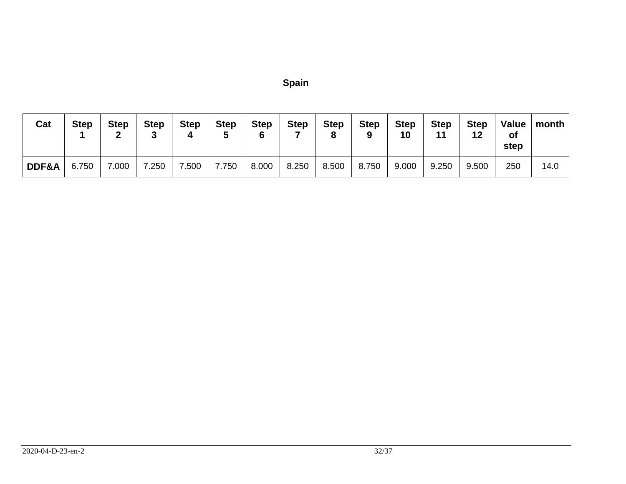|        | г. | ı<br>'' |
|--------|----|---------|
| ×<br>i |    |         |

| Cat   | <b>Step</b> | <b>Step</b> | <b>Step</b> | <b>Step</b><br>4 | <b>Step</b> | <b>Step</b> | <b>Step</b> | <b>Step</b><br>8 | <b>Step</b> | <b>Step</b><br>10 | <b>Step</b><br>44 | <b>Step</b><br>12 | Value<br><b>of</b><br>step | month |
|-------|-------------|-------------|-------------|------------------|-------------|-------------|-------------|------------------|-------------|-------------------|-------------------|-------------------|----------------------------|-------|
| DDF&A | 6.750       | 7.000       | 7.250       | .500             | 7.750       | 8.000       | 8.250       | 8.500            | 8.750       | 9.000             | 9.250             | 9.500             | 250                        | 14.0  |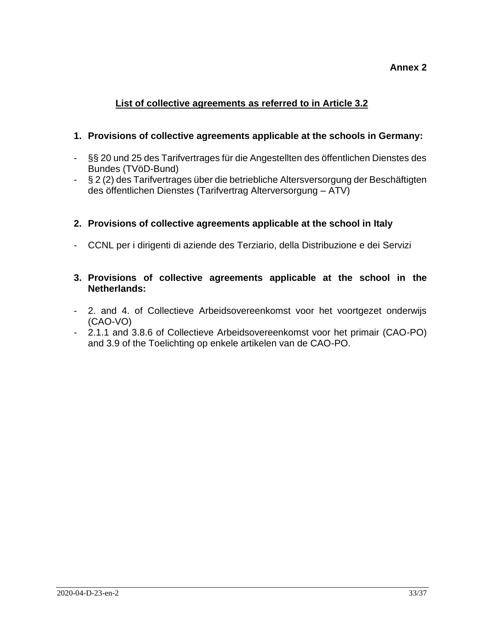# **Annex 2**

# **List of collective agreements as referred to in Article 3.2**

### **1. Provisions of collective agreements applicable at the schools in Germany:**

- §§ 20 und 25 des Tarifvertrages für die Angestellten des öffentlichen Dienstes des Bundes (TVöD-Bund)
- § 2 (2) des Tarifvertrages über die betriebliche Altersversorgung der Beschäftigten des öffentlichen Dienstes (Tarifvertrag Alterversorgung – ATV)

### **2. Provisions of collective agreements applicable at the school in Italy**

- CCNL per i dirigenti di aziende des Terziario, della Distribuzione e dei Servizi

### **3. Provisions of collective agreements applicable at the school in the Netherlands:**

- 2. and 4. of Collectieve Arbeidsovereenkomst voor het voortgezet onderwijs (CAO-VO)
- 2.1.1 and 3.8.6 of Collectieve Arbeidsovereenkomst voor het primair (CAO-PO) and 3.9 of the Toelichting op enkele artikelen van de CAO-PO.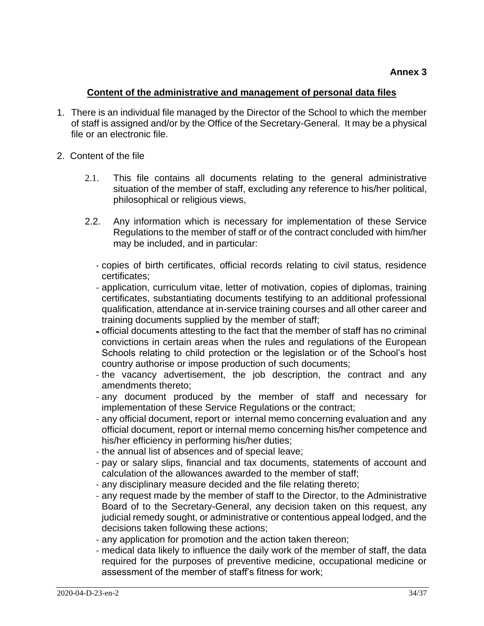### **Content of the administrative and management of personal data files**

- 1. There is an individual file managed by the Director of the School to which the member of staff is assigned and/or by the Office of the Secretary-General. It may be a physical file or an electronic file.
- 2. Content of the file
	- 2.1. This file contains all documents relating to the general administrative situation of the member of staff, excluding any reference to his/her political, philosophical or religious views,
	- 2.2. Any information which is necessary for implementation of these Service Regulations to the member of staff or of the contract concluded with him/her may be included, and in particular:
		- copies of birth certificates, official records relating to civil status, residence certificates;
		- application, curriculum vitae, letter of motivation, copies of diplomas, training certificates, substantiating documents testifying to an additional professional qualification, attendance at in-service training courses and all other career and training documents supplied by the member of staff;
		- official documents attesting to the fact that the member of staff has no criminal convictions in certain areas when the rules and regulations of the European Schools relating to child protection or the legislation or of the School's host country authorise or impose production of such documents;
		- the vacancy advertisement, the job description, the contract and any amendments thereto;
		- any document produced by the member of staff and necessary for implementation of these Service Regulations or the contract;
		- any official document, report or internal memo concerning evaluation and any official document, report or internal memo concerning his/her competence and his/her efficiency in performing his/her duties;
		- the annual list of absences and of special leave;
		- pay or salary slips, financial and tax documents, statements of account and calculation of the allowances awarded to the member of staff;
		- any disciplinary measure decided and the file relating thereto;
		- any request made by the member of staff to the Director, to the Administrative Board of to the Secretary-General, any decision taken on this request, any judicial remedy sought, or administrative or contentious appeal lodged, and the decisions taken following these actions;
		- any application for promotion and the action taken thereon;
		- medical data likely to influence the daily work of the member of staff, the data required for the purposes of preventive medicine, occupational medicine or assessment of the member of staff's fitness for work;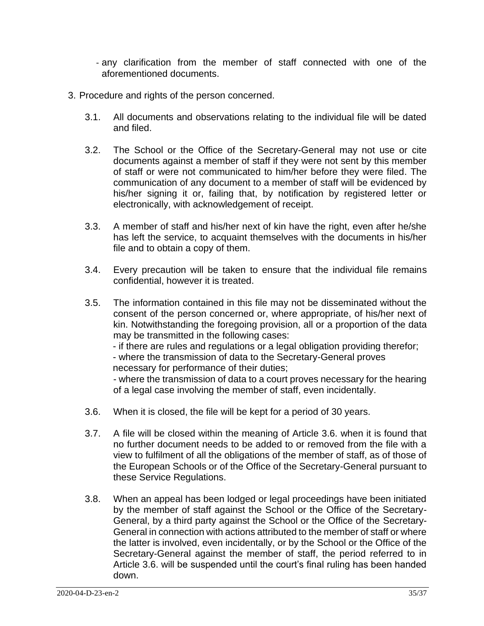- any clarification from the member of staff connected with one of the aforementioned documents.
- 3. Procedure and rights of the person concerned.
	- 3.1. All documents and observations relating to the individual file will be dated and filed.
	- 3.2. The School or the Office of the Secretary-General may not use or cite documents against a member of staff if they were not sent by this member of staff or were not communicated to him/her before they were filed. The communication of any document to a member of staff will be evidenced by his/her signing it or, failing that, by notification by registered letter or electronically, with acknowledgement of receipt.
	- 3.3. A member of staff and his/her next of kin have the right, even after he/she has left the service, to acquaint themselves with the documents in his/her file and to obtain a copy of them.
	- 3.4. Every precaution will be taken to ensure that the individual file remains confidential, however it is treated.
	- 3.5. The information contained in this file may not be disseminated without the consent of the person concerned or, where appropriate, of his/her next of kin. Notwithstanding the foregoing provision, all or a proportion of the data may be transmitted in the following cases:

- if there are rules and regulations or a legal obligation providing therefor;

- where the transmission of data to the Secretary-General proves necessary for performance of their duties;

- where the transmission of data to a court proves necessary for the hearing of a legal case involving the member of staff, even incidentally.

- 3.6. When it is closed, the file will be kept for a period of 30 years.
- 3.7. A file will be closed within the meaning of Article 3.6. when it is found that no further document needs to be added to or removed from the file with a view to fulfilment of all the obligations of the member of staff, as of those of the European Schools or of the Office of the Secretary-General pursuant to these Service Regulations.
- 3.8. When an appeal has been lodged or legal proceedings have been initiated by the member of staff against the School or the Office of the Secretary-General, by a third party against the School or the Office of the Secretary-General in connection with actions attributed to the member of staff or where the latter is involved, even incidentally, or by the School or the Office of the Secretary-General against the member of staff, the period referred to in Article 3.6. will be suspended until the court's final ruling has been handed down.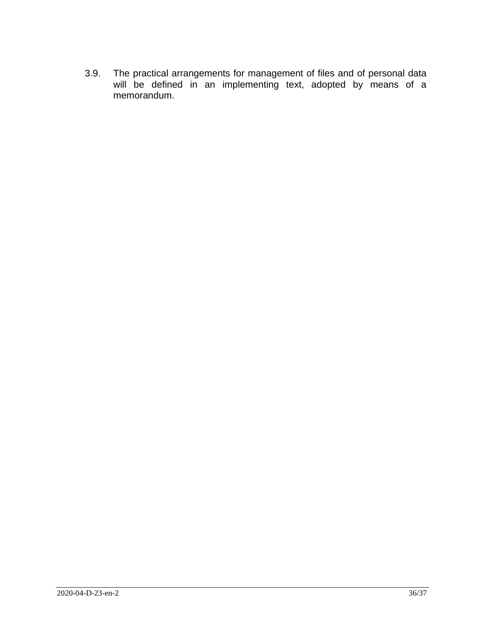3.9. The practical arrangements for management of files and of personal data will be defined in an implementing text, adopted by means of a memorandum.